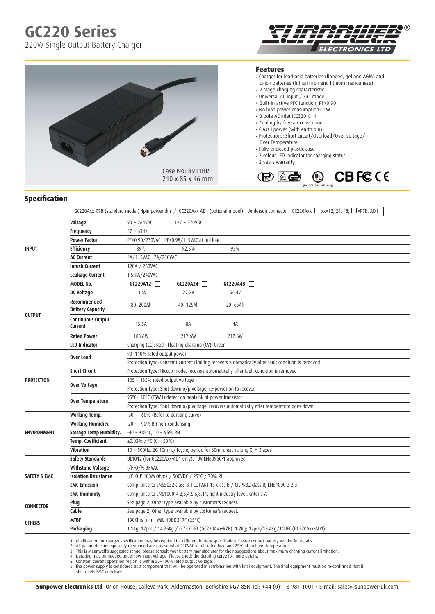# **GC220 Series**

220W Single Output Battery Charger



#### **Features**

- Charger for lead-acid batteries (flooded, gel and AGM) and Li-ion batteries (lithium iron and lithium manganese)
- 2 stage charging characteristic
- Universal AC input / Full range
- Built-in active PFC function, PF>0.90
- No load power consumption< 1W
- 3 pole AC inlet IEC320-C14
- Cooling by free air convection
- Class I power (with earth pin) • Protections: Short circuit/Overload/Over voltage/
- Over Temperature
- Fully enclosed plastic case
- 2 colour LED indicator for charging status
- 2 years warranty



## **Specification**

|                         | GC220Axx-R7B (standard model) 4pin power din / GC220Axx-AD1 (optional model) Anderson connector GC220Axx- $\Box$ xx=12, 24, 48; $\Box$ =R7B, AD1 |                                                                                                                                   |                                                                                            |                  |  |
|-------------------------|--------------------------------------------------------------------------------------------------------------------------------------------------|-----------------------------------------------------------------------------------------------------------------------------------|--------------------------------------------------------------------------------------------|------------------|--|
|                         | Voltage                                                                                                                                          | $90 - 264$ VAC                                                                                                                    | $127 - 370$ VDC                                                                            |                  |  |
| <b>INPUT</b>            | <b>Frequency</b>                                                                                                                                 | $47 - 63$ Hz                                                                                                                      |                                                                                            |                  |  |
|                         | <b>Power Factor</b>                                                                                                                              | PF>0.90/230VAC PF>0.98/115VAC at full load                                                                                        |                                                                                            |                  |  |
|                         | <b>Efficiency</b>                                                                                                                                | 89%                                                                                                                               | 92.5%                                                                                      | 93%              |  |
|                         | <b>AC Current</b>                                                                                                                                | 4A/115VAC 2A/230VAC                                                                                                               |                                                                                            |                  |  |
|                         | <b>Inrush Current</b>                                                                                                                            | 120A / 230VAC                                                                                                                     |                                                                                            |                  |  |
|                         | <b>Leakage Current</b>                                                                                                                           | 1.5mA/240VAC                                                                                                                      |                                                                                            |                  |  |
| <b>OUTPUT</b>           | <b>MODEL No.</b>                                                                                                                                 | $GC220A12 - \square$                                                                                                              | $GC220A24 -$                                                                               | GC220A48- $\Box$ |  |
|                         | <b>DC Voltage</b>                                                                                                                                | 13.6V                                                                                                                             | 27.2V                                                                                      | 54.4V            |  |
|                         | <b>Recommended</b><br><b>Battery Capacity</b>                                                                                                    | 80~200Ah                                                                                                                          | 40~125Ah                                                                                   | 20~65Ah          |  |
|                         | <b>Continuous Output</b><br>Current                                                                                                              | 13.5A                                                                                                                             | 8A                                                                                         | 4A               |  |
|                         | <b>Rated Power</b>                                                                                                                               | 183.6W                                                                                                                            | 217.6W                                                                                     | 217.6W           |  |
|                         | <b>LED Indicator</b>                                                                                                                             | Charging (CC): Red Floating charging (CV): Green                                                                                  |                                                                                            |                  |  |
| <b>PROTECTION</b>       | Over Load                                                                                                                                        | 90~110% rated output power                                                                                                        |                                                                                            |                  |  |
|                         |                                                                                                                                                  | Protection Type: Constant Current Limiting recovers automatically after fault condition is removed                                |                                                                                            |                  |  |
|                         | <b>Short Circuit</b>                                                                                                                             | Protection Type: Hiccup mode, recovers automatically after fault condition is removed                                             |                                                                                            |                  |  |
|                         | Over Voltage                                                                                                                                     | 105 ~ 135% rated output voltage                                                                                                   |                                                                                            |                  |  |
|                         |                                                                                                                                                  | Protection Type: Shut down o/p voltage, re-power on to recover                                                                    |                                                                                            |                  |  |
|                         | Over Temperature                                                                                                                                 | 95°C± 10°C (TSW1) detect on heatsink of power transistor                                                                          |                                                                                            |                  |  |
|                         |                                                                                                                                                  | Protection Type: Shut down o/p voltage, recovers automatically after temperature goes down                                        |                                                                                            |                  |  |
| <b>ENVIRONMENT</b>      | Working Temp.                                                                                                                                    | $-30 \sim +60^{\circ}$ C (Refer to derating curve)                                                                                |                                                                                            |                  |  |
|                         | <b>Working Humidity.</b>                                                                                                                         | $-20 \sim +90\%$ RH non-condensing                                                                                                |                                                                                            |                  |  |
|                         | <b>Storage Temp Humidity.</b>                                                                                                                    | $-40 \sim +85^{\circ}$ C, 10 ~ 95% RH                                                                                             |                                                                                            |                  |  |
|                         | <b>Temp. Coefficient</b><br><b>Vibration</b>                                                                                                     | $\pm 0.03\%$ / °C (0 ~ 50°C)                                                                                                      |                                                                                            |                  |  |
|                         | <b>Safety Standards</b>                                                                                                                          | 10 ~ 500Hz, 2G 10min./1cycle, period for 60min. each along X, Y, Z axes<br>UL1012 (for GC220Axx-AD1 only), TUV EN60950-1 approved |                                                                                            |                  |  |
| <b>SAFETY &amp; EMC</b> | <b>Withstand Voltage</b>                                                                                                                         | $I/P-O/P: 3KVAC$                                                                                                                  |                                                                                            |                  |  |
|                         | <b>Isolation Resistance</b>                                                                                                                      | I/P-0-P:100M Ohms / 500VDC / 25°C / 70% RH                                                                                        |                                                                                            |                  |  |
|                         | <b>EMC Emission</b>                                                                                                                              | Compliance to EN55032 class B, FCC PART 15 class B / CISPR32 class B, EN61000-3-2,3                                               |                                                                                            |                  |  |
|                         | <b>EMC Immunity</b>                                                                                                                              | Compliance to EN61000-4-2,3,4,5,6,8,11, light industry level, criteria A                                                          |                                                                                            |                  |  |
|                         | Plug                                                                                                                                             | See page 2; Other type available by customer's request.                                                                           |                                                                                            |                  |  |
| <b>CONNECTOR</b>        | Cable                                                                                                                                            | See page 2; Other type available by customer's request.                                                                           |                                                                                            |                  |  |
| <b>OTHERS</b>           | <b>MTBF</b>                                                                                                                                      | 190Khrs min. MIL-HDBK-217F (25°C)                                                                                                 |                                                                                            |                  |  |
|                         | Packaging                                                                                                                                        |                                                                                                                                   | 1.1Kg; 12pcs / 14.25Kg / 0.73 CUFT (GC220Axx-R7B) 1.2Kg; 12pcs/15.4Kg/1CUFT (GC220Axx-AD1) |                  |  |
|                         |                                                                                                                                                  |                                                                                                                                   |                                                                                            |                  |  |

Case No: 8911BR 210 x 85 x 46 mm

1. Modification for charger specification may be required for different battery specification. Please contact battery vendor for details.

2. All parameters not specially mentioned are measured at 230VAC input, rated load and 25°C of ambient temperature.<br>3. This is Meanwell's suggested range, please consult your battery manufacturer for their suggestions abou

6. The power supply is considered as a component that will be operated in combination with final equipment. The final equipment must be re-confirmed that it still meets EMC directives